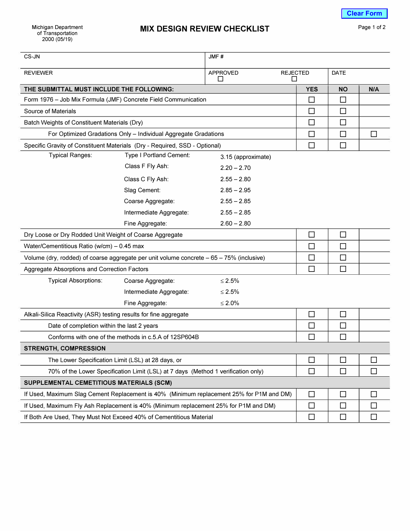| CS-JN                                                                                    |                         | JMF#                 |                      |             |              |
|------------------------------------------------------------------------------------------|-------------------------|----------------------|----------------------|-------------|--------------|
| <b>REVIEWER</b>                                                                          |                         | <b>APPROVED</b><br>П | <b>REJECTED</b><br>П | <b>DATE</b> |              |
| THE SUBMITTAL MUST INCLUDE THE FOLLOWING:                                                |                         |                      | <b>YES</b>           | <b>NO</b>   | N/A          |
| Form 1976 - Job Mix Formula (JMF) Concrete Field Communication                           |                         |                      | $\Box$               | $\Box$      |              |
| Source of Materials                                                                      |                         |                      | □                    | □           |              |
| Batch Weights of Constituent Materials (Dry)                                             |                         |                      | $\Box$               | П           |              |
| For Optimized Gradations Only - Individual Aggregate Gradations                          |                         |                      | $\Box$               | $\Box$      | □            |
| Specific Gravity of Constituent Materials (Dry - Required, SSD - Optional)               |                         |                      | □                    | $\Box$      |              |
| <b>Typical Ranges:</b>                                                                   | Type I Portland Cement: | 3.15 (approximate)   |                      |             |              |
|                                                                                          | Class F Fly Ash:        | $2.20 - 2.70$        |                      |             |              |
|                                                                                          | Class C Fly Ash:        | $2.55 - 2.80$        |                      |             |              |
|                                                                                          | Slag Cement:            | $2.85 - 2.95$        |                      |             |              |
|                                                                                          | Coarse Aggregate:       | $2.55 - 2.85$        |                      |             |              |
|                                                                                          | Intermediate Aggregate: | $2.55 - 2.85$        |                      |             |              |
|                                                                                          | Fine Aggregate:         | $2.60 - 2.80$        |                      |             |              |
| Dry Loose or Dry Rodded Unit Weight of Coarse Aggregate                                  |                         |                      | $\Box$               | $\Box$      |              |
| Water/Cementitious Ratio (w/cm) - 0.45 max                                               |                         |                      | $\Box$               | $\Box$      |              |
| Volume (dry, rodded) of coarse aggregate per unit volume concrete - 65 - 75% (inclusive) |                         |                      | $\Box$               | □           |              |
| Aggregate Absorptions and Correction Factors                                             |                         |                      | П                    | $\Box$      |              |
| <b>Typical Absorptions:</b>                                                              | Coarse Aggregate:       | $≤ 2.5%$             |                      |             |              |
|                                                                                          | Intermediate Aggregate: | $≤ 2.5%$             |                      |             |              |
|                                                                                          | Fine Aggregate:         | $≤ 2.0%$             |                      |             |              |
| Alkali-Silica Reactivity (ASR) testing results for fine aggregate                        |                         |                      | □                    | $\Box$      |              |
| Date of completion within the last 2 years                                               |                         |                      | □                    | $\Box$      |              |
| Conforms with one of the methods in c.5.A of 12SP604B                                    |                         |                      | П                    | $\Box$      |              |
| <b>STRENGTH, COMPRESSION</b>                                                             |                         |                      |                      |             |              |
| The Lower Specification Limit (LSL) at 28 days, or                                       |                         |                      | □                    | $\Box$      | $\mathsf{L}$ |
| 70% of the Lower Specification Limit (LSL) at 7 days (Method 1 verification only)        |                         |                      | $\Box$               | $\Box$      | □            |
| SUPPLEMENTAL CEMETITIOUS MATERIALS (SCM)                                                 |                         |                      |                      |             |              |
| If Used, Maximum Slag Cement Replacement is 40% (Minimum replacement 25% for P1M and DM) |                         |                      | $\Box$               | $\Box$      | $\Box$       |
| If Used, Maximum Fly Ash Replacement is 40% (Minimum replacement 25% for P1M and DM)     |                         |                      | □                    | □           | ΙI           |
| If Both Are Used, They Must Not Exceed 40% of Cementitious Material                      |                         |                      | $\Box$               | $\Box$      | □            |
|                                                                                          |                         |                      |                      |             |              |